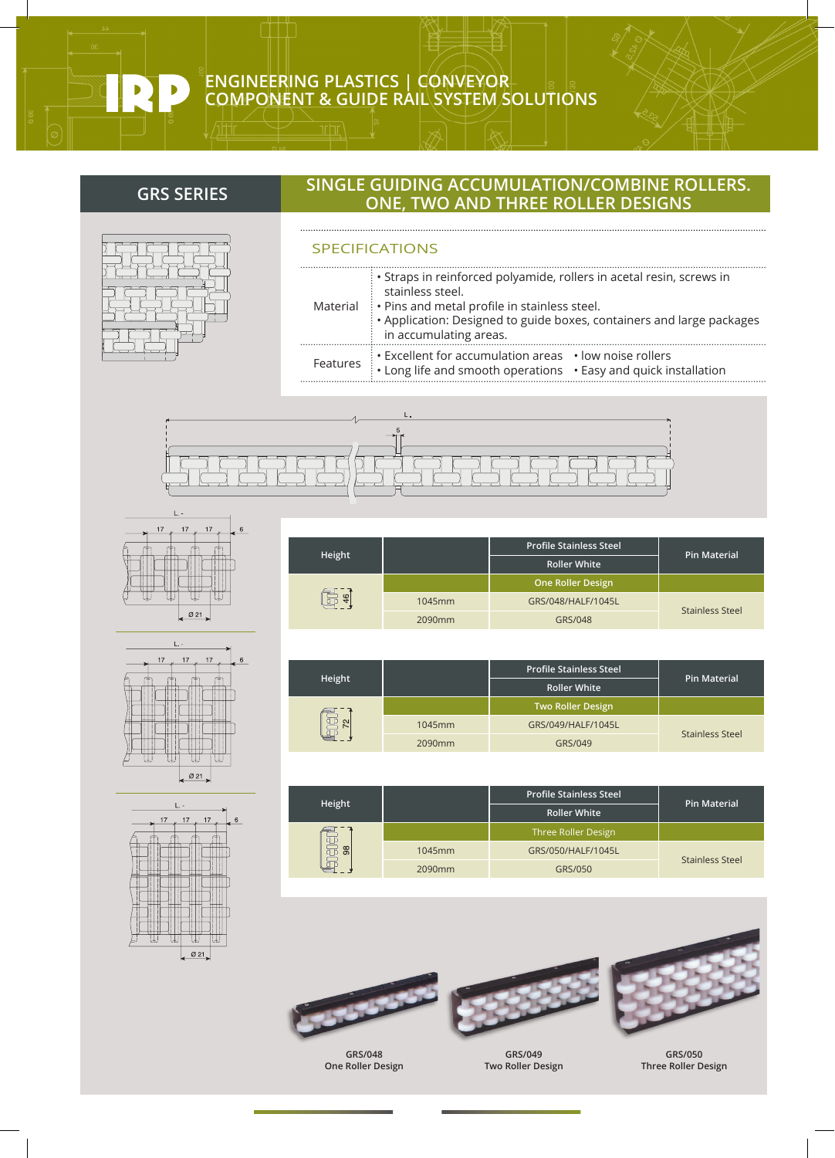

### **ENGINEERING PLASTICS | CONVEYOR COMPONENT & GUIDE RAIL SYSTEM SOLUTIONS**

## **SINGLE GUIDING ACCUMULATION/COMBINE ROLLERS. ONE, TWO AND THREE ROLLER DESIGNS GRS SERIES**

# SPECIFICATIONS

**Height**

| • Straps in reinforced polyamide, rollers in acetal resin, screws in<br>stainless steel.<br>Material : • Pins and metal profile in stainless steel.<br>• Application: Designed to guide boxes, containers and large packages<br>in accumulating areas. |
|--------------------------------------------------------------------------------------------------------------------------------------------------------------------------------------------------------------------------------------------------------|
| Excellent for accumulation areas · low noise rollers<br>Features : Long life and smooth operations . Easy and quick installation                                                                                                                       |







|    | Ø 21                            |
|----|---------------------------------|
| 17 | L. -<br>17<br>17<br>$\,$ 6 $\,$ |
|    |                                 |

|        |        | <b>Roller White</b>             |                       |
|--------|--------|---------------------------------|-----------------------|
| 46     |        | <b>One Roller Design</b>        |                       |
|        | 1045mm | GRS/048/HALF/1045L              |                       |
|        | 2090mm | GRS/048                         | <b>Stainless Stee</b> |
|        |        |                                 |                       |
|        |        |                                 |                       |
| Height |        | <b>Profile Stainless Steel</b>  | <b>Pin Material</b>   |
|        |        | $D = U \cdot U \cdot U \cdot H$ |                       |

**Profile Stainless Steel**

| neight |        | <b>Roller White</b>      | Pin Material    |
|--------|--------|--------------------------|-----------------|
|        |        | <b>Two Roller Design</b> |                 |
| 몸      | 1045mm | GRS/049/HALF/1045L       |                 |
|        | 2090mm | GRS/049                  | Stainless Steel |

|                           |        | <b>Profile Stainless Steel</b> | <b>Pin Material</b>    |
|---------------------------|--------|--------------------------------|------------------------|
| Height                    |        | <b>Roller White</b>            |                        |
|                           |        | Three Roller Design            |                        |
| <u>ਗ</u><br>$\frac{8}{2}$ | 1045mm | GRS/050/HALF/1045L             |                        |
|                           | 2090mm | GRS/050                        | <b>Stainless Steel</b> |





**GRS/048 One Roller Design**



**GRS/049 Two Roller Design**



**Pin Material**

sel

**GRS/050 Three Roller Design**